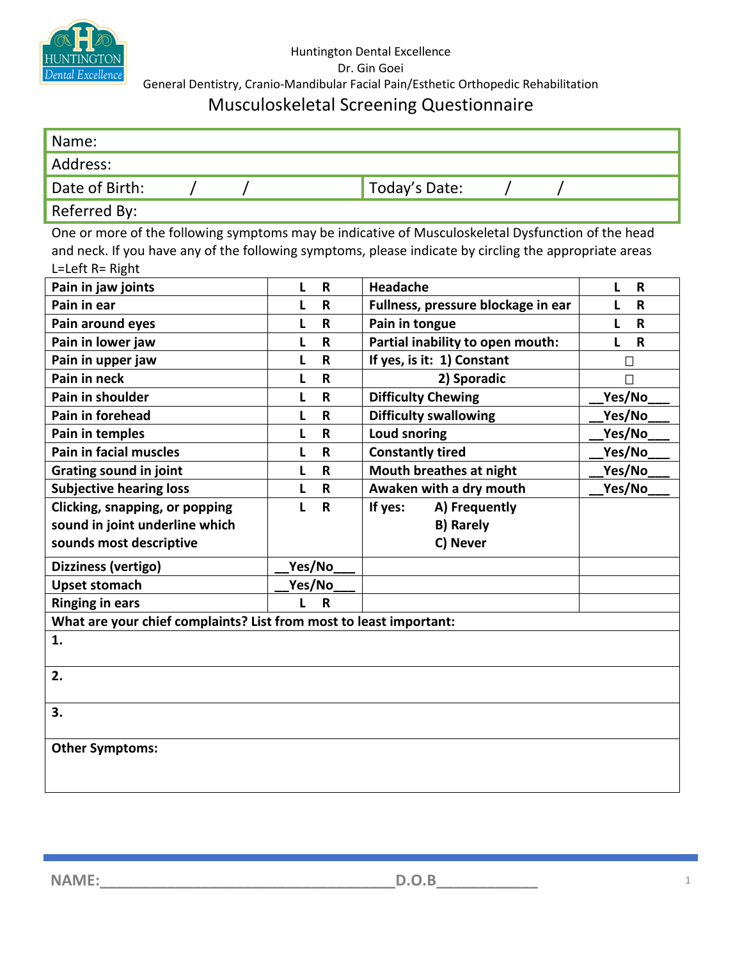

## Musculoskeletal Screening Questionnaire

| Name:                                                                                                  |              |              |                                    |                   |  |  |  |  |
|--------------------------------------------------------------------------------------------------------|--------------|--------------|------------------------------------|-------------------|--|--|--|--|
| Address:                                                                                               |              |              |                                    |                   |  |  |  |  |
| Date of Birth:                                                                                         |              |              | Today's Date:                      |                   |  |  |  |  |
| Referred By:                                                                                           |              |              |                                    |                   |  |  |  |  |
| One or more of the following symptoms may be indicative of Musculoskeletal Dysfunction of the head     |              |              |                                    |                   |  |  |  |  |
| and neck. If you have any of the following symptoms, please indicate by circling the appropriate areas |              |              |                                    |                   |  |  |  |  |
| L=Left R= Right                                                                                        |              |              |                                    |                   |  |  |  |  |
| Pain in jaw joints                                                                                     | L            | R            | Headache                           | L<br>$\mathsf{R}$ |  |  |  |  |
| Pain in ear                                                                                            | L            | R            | Fullness, pressure blockage in ear | L<br>R            |  |  |  |  |
| Pain around eyes                                                                                       | L            | $\mathbf R$  | Pain in tongue                     | L<br>R            |  |  |  |  |
| Pain in lower jaw                                                                                      | L            | R            | Partial inability to open mouth:   | L<br>R            |  |  |  |  |
| Pain in upper jaw                                                                                      | L            | $\mathsf R$  | If yes, is it: 1) Constant         | $\Box$            |  |  |  |  |
| Pain in neck                                                                                           | L            | $\mathsf{R}$ | 2) Sporadic                        | $\Box$            |  |  |  |  |
| Pain in shoulder                                                                                       | L            | $\mathsf R$  | <b>Difficulty Chewing</b>          | Yes/No            |  |  |  |  |
| Pain in forehead                                                                                       | L            | $\mathsf{R}$ | <b>Difficulty swallowing</b>       | Yes/No            |  |  |  |  |
| Pain in temples                                                                                        | L            | $\mathsf R$  | <b>Loud snoring</b>                | Yes/No            |  |  |  |  |
| <b>Pain in facial muscles</b>                                                                          | L            | R            | <b>Constantly tired</b>            | Yes/No            |  |  |  |  |
| <b>Grating sound in joint</b>                                                                          | L            | R            | Mouth breathes at night            | Yes/No            |  |  |  |  |
| <b>Subjective hearing loss</b>                                                                         | L            | $\mathsf{R}$ | Awaken with a dry mouth            | Yes/No            |  |  |  |  |
| Clicking, snapping, or popping                                                                         | п            | $\mathsf{R}$ | A) Frequently<br>If yes:           |                   |  |  |  |  |
| sound in joint underline which                                                                         |              |              | <b>B) Rarely</b>                   |                   |  |  |  |  |
| sounds most descriptive                                                                                |              |              | C) Never                           |                   |  |  |  |  |
| Dizziness (vertigo)                                                                                    | Yes/No       |              |                                    |                   |  |  |  |  |
| <b>Upset stomach</b>                                                                                   | Yes/No       |              |                                    |                   |  |  |  |  |
| <b>Ringing in ears</b>                                                                                 | $\mathbf{I}$ | $\mathbf R$  |                                    |                   |  |  |  |  |
| What are your chief complaints? List from most to least important:                                     |              |              |                                    |                   |  |  |  |  |
| 1.                                                                                                     |              |              |                                    |                   |  |  |  |  |
| 2.                                                                                                     |              |              |                                    |                   |  |  |  |  |
| 3.                                                                                                     |              |              |                                    |                   |  |  |  |  |
| <b>Other Symptoms:</b>                                                                                 |              |              |                                    |                   |  |  |  |  |

**NAME:\_\_\_\_\_\_\_\_\_\_\_\_\_\_\_\_\_\_\_\_\_\_\_\_\_\_\_\_\_\_\_\_\_\_\_D.O.B\_\_\_\_\_\_\_\_\_\_\_\_** <sup>1</sup>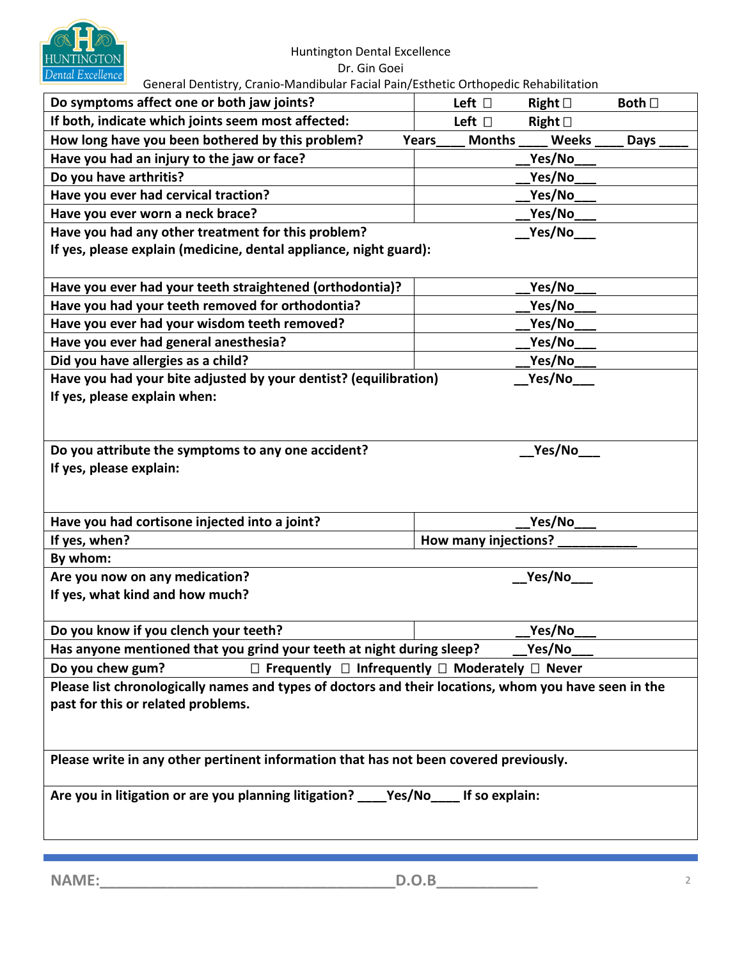

## Huntington Dental Excellence Dr. Gin Goei

General Dentistry, Cranio-Mandibular Facial Pain/Esthetic Orthopedic Rehabilitation

| Do symptoms affect one or both jaw joints?                                                            | Left $\Box$          |               | Right $\Box$    | Both $\Box$ |  |  |  |  |
|-------------------------------------------------------------------------------------------------------|----------------------|---------------|-----------------|-------------|--|--|--|--|
| If both, indicate which joints seem most affected:                                                    | Left $\square$       |               | Right $\square$ |             |  |  |  |  |
| How long have you been bothered by this problem?                                                      | Years                | <b>Months</b> | <b>Weeks</b>    | Days        |  |  |  |  |
| Have you had an injury to the jaw or face?                                                            |                      |               | Yes/No          |             |  |  |  |  |
| Do you have arthritis?                                                                                |                      |               | Yes/No          |             |  |  |  |  |
| Have you ever had cervical traction?                                                                  |                      |               | Yes/No          |             |  |  |  |  |
| Have you ever worn a neck brace?                                                                      |                      |               | Yes/No          |             |  |  |  |  |
| Have you had any other treatment for this problem?                                                    |                      |               | Yes/No          |             |  |  |  |  |
| If yes, please explain (medicine, dental appliance, night guard):                                     |                      |               |                 |             |  |  |  |  |
| Have you ever had your teeth straightened (orthodontia)?                                              |                      |               | Yes/No          |             |  |  |  |  |
| Have you had your teeth removed for orthodontia?                                                      |                      |               | Yes/No          |             |  |  |  |  |
| Have you ever had your wisdom teeth removed?                                                          |                      |               | Yes/No          |             |  |  |  |  |
| Have you ever had general anesthesia?                                                                 |                      |               | Yes/No          |             |  |  |  |  |
| Did you have allergies as a child?                                                                    |                      |               | Yes/No          |             |  |  |  |  |
| Have you had your bite adjusted by your dentist? (equilibration)                                      |                      |               | Yes/No          |             |  |  |  |  |
| If yes, please explain when:                                                                          |                      |               |                 |             |  |  |  |  |
| Do you attribute the symptoms to any one accident?                                                    |                      |               | Yes/No          |             |  |  |  |  |
| If yes, please explain:                                                                               |                      |               |                 |             |  |  |  |  |
|                                                                                                       |                      |               |                 |             |  |  |  |  |
| Have you had cortisone injected into a joint?                                                         |                      |               | Yes/No          |             |  |  |  |  |
| If yes, when?                                                                                         | How many injections? |               |                 |             |  |  |  |  |
| By whom:                                                                                              |                      |               |                 |             |  |  |  |  |
| Are you now on any medication?                                                                        |                      |               | Yes/No          |             |  |  |  |  |
| If yes, what kind and how much?                                                                       |                      |               |                 |             |  |  |  |  |
|                                                                                                       |                      |               |                 |             |  |  |  |  |
| Do you know if you clench your teeth?                                                                 |                      |               | Yes/No          |             |  |  |  |  |
| Has anyone mentioned that you grind your teeth at night during sleep?<br>Yes/No                       |                      |               |                 |             |  |  |  |  |
| Do you chew gum?<br>$\Box$ Frequently $\Box$ Infrequently $\Box$ Moderately $\Box$ Never              |                      |               |                 |             |  |  |  |  |
| Please list chronologically names and types of doctors and their locations, whom you have seen in the |                      |               |                 |             |  |  |  |  |
| past for this or related problems.                                                                    |                      |               |                 |             |  |  |  |  |
| Please write in any other pertinent information that has not been covered previously.                 |                      |               |                 |             |  |  |  |  |
| Are you in litigation or are you planning litigation? ______ Yes/No______ If so explain:              |                      |               |                 |             |  |  |  |  |
|                                                                                                       |                      |               |                 |             |  |  |  |  |

**NAME:\_\_\_\_\_\_\_\_\_\_\_\_\_\_\_\_\_\_\_\_\_\_\_\_\_\_\_\_\_\_\_\_\_\_\_D.O.B\_\_\_\_\_\_\_\_\_\_\_\_** <sup>2</sup>